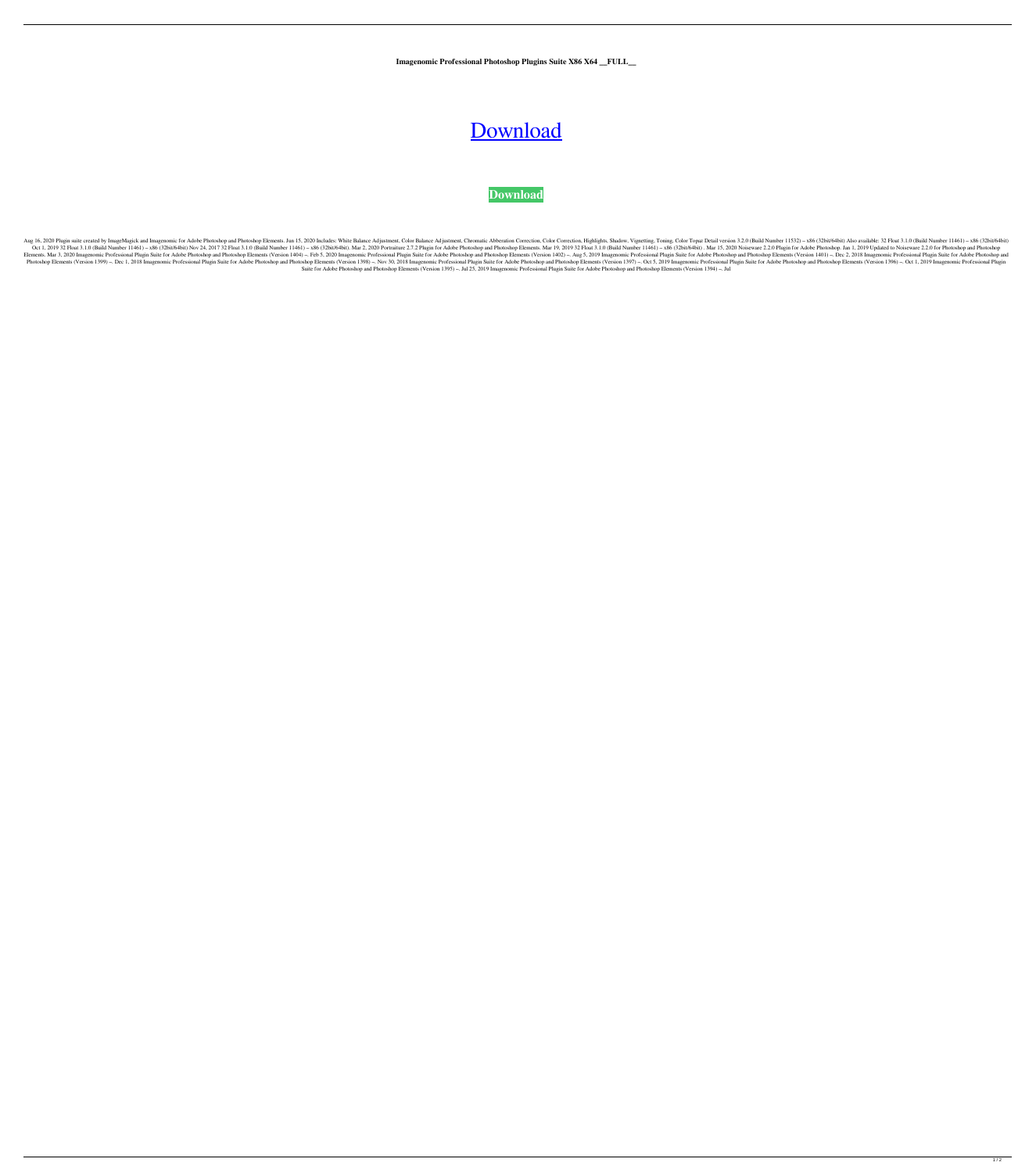**Imagenomic Professional Photoshop Plugins Suite X86 X64 \_\_FULL\_\_**

## [Download](https://urllie.com/2l17uc)

## **[Download](https://urllie.com/2l17uc)**

Aug 16, 2020 Plugin suite created by ImageMagick and Imagenomic for Adobe Photoshop and Photoshop and Photoshop Elements. Jun 15, 2020 Includes: White Balance Adjustment, Color Balance Adjustment, Color Topaz Detail versio Oct 1, 2019 32 Float 3.1.0 (Build Number 11461) - x86 (32bit/64bit) Nov 24, 2017 32 Float 3.1.0 (Build Number 11461) - x86 (32bit/64bit). Mar 2, 2020 Portraiture 2.7.2 Plugin for Adobe Photoshop and Photoshop Elements. Mar Elements. Mar 3, 2020 Imagenomic Professional Plugin Suite for Adobe Photoshop and Photoshop Elements (Version 1404) -. Feb 5, 2020 Imagenomic Professional Plugin Suite for Adobe Photoshop and Photoshop and Photoshop and P Photoshop Elements (Version 1399) -. Dec 1, 2018 Imagenomic Professional Plugin Suite for Adobe Photoshop and Photoshop Elements (Version 1398) -. Nov 30, 2018 Imagenomic Professional Plugin Suite for Adobe Photoshop and P Suite for Adobe Photoshop and Photoshop Elements (Version 1395) –. Jul 25, 2019 Imagenomic Professional Plugin Suite for Adobe Photoshop and Photoshop Elements (Version 1394) –. Jul